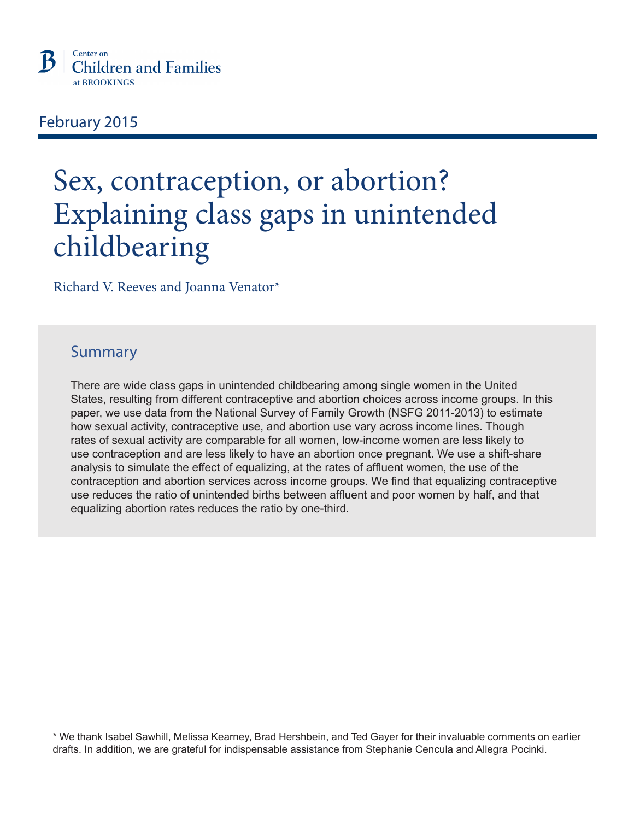

# February 2015

# Sex, contraception, or abortion? Explaining class gaps in unintended childbearing

Richard V. Reeves and Joanna Venator\*

# Summary

There are wide class gaps in unintended childbearing among single women in the United States, resulting from different contraceptive and abortion choices across income groups. In this paper, we use data from the National Survey of Family Growth (NSFG 2011-2013) to estimate how sexual activity, contraceptive use, and abortion use vary across income lines. Though rates of sexual activity are comparable for all women, low-income women are less likely to use contraception and are less likely to have an abortion once pregnant. We use a shift-share analysis to simulate the effect of equalizing, at the rates of affluent women, the use of the contraception and abortion services across income groups. We find that equalizing contraceptive use reduces the ratio of unintended births between affluent and poor women by half, and that equalizing abortion rates reduces the ratio by one-third.

\* We thank Isabel Sawhill, Melissa Kearney, Brad Hershbein, and Ted Gayer for their invaluable comments on earlier drafts. In addition, we are grateful for indispensable assistance from Stephanie Cencula and Allegra Pocinki.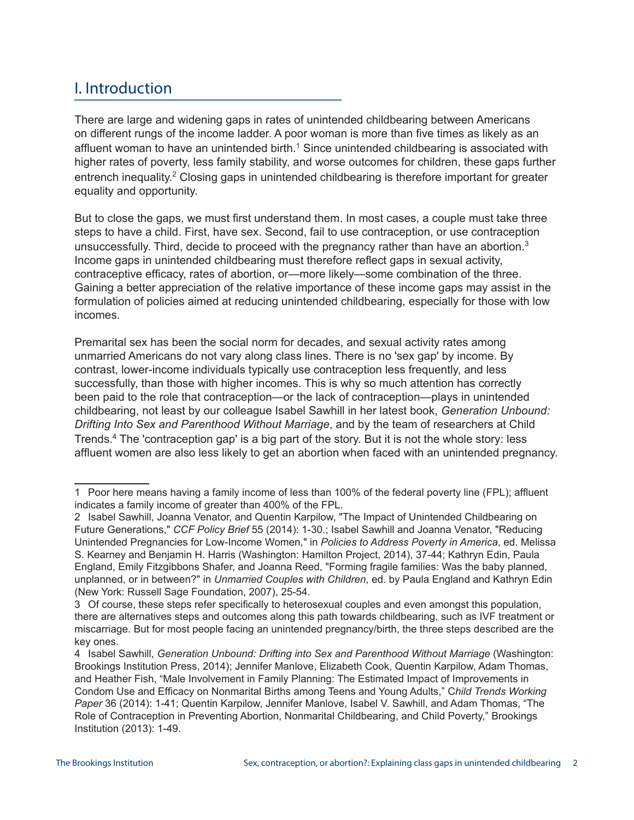# I. Introduction

There are large and widening gaps in rates of unintended childbearing between Americans on different rungs of the income ladder. A poor woman is more than five times as likely as an affluent woman to have an unintended birth.<sup>1</sup> Since unintended childbearing is associated with higher rates of poverty, less family stability, and worse outcomes for children, these gaps further entrench inequality.<sup>2</sup> Closing gaps in unintended childbearing is therefore important for greater equality and opportunity.

But to close the gaps, we must first understand them. In most cases, a couple must take three steps to have a child. First, have sex. Second, fail to use contraception, or use contraception unsuccessfully. Third, decide to proceed with the pregnancy rather than have an abortion.<sup>3</sup> Income gaps in unintended childbearing must therefore reflect gaps in sexual activity, contraceptive efficacy, rates of abortion, or—more likely—some combination of the three. Gaining a better appreciation of the relative importance of these income gaps may assist in the formulation of policies aimed at reducing unintended childbearing, especially for those with low incomes.

Premarital sex has been the social norm for decades, and sexual activity rates among unmarried Americans do not vary along class lines. There is no 'sex gap' by income. By contrast, lower-income individuals typically use contraception less frequently, and less successfully, than those with higher incomes. This is why so much attention has correctly been paid to the role that contraception—or the lack of contraception—plays in unintended childbearing, not least by our colleague Isabel Sawhill in her latest book, *Generation Unbound: Drifting Into Sex and Parenthood Without Marriage*, and by the team of researchers at Child Trends.4 The 'contraception gap' is a big part of the story. But it is not the whole story: less affluent women are also less likely to get an abortion when faced with an unintended pregnancy.

<sup>1</sup>Poor here means having a family income of less than 100% of the federal poverty line (FPL); affluent indicates a family income of greater than 400% of the FPL.

<sup>2</sup> Isabel Sawhill, Joanna Venator, and Quentin Karpilow, "The Impact of Unintended Childbearing on Future Generations," *CCF Policy Brief* 55 (2014): 1-30.; Isabel Sawhill and Joanna Venator, "Reducing Unintended Pregnancies for Low-Income Women," in *Policies to Address Poverty in America*, ed. Melissa S. Kearney and Benjamin H. Harris (Washington: Hamilton Project, 2014), 37-44; Kathryn Edin, Paula England, Emily Fitzgibbons Shafer, and Joanna Reed, "Forming fragile families: Was the baby planned, unplanned, or in between?" in *Unmarried Couples with Children*, ed. by Paula England and Kathryn Edin (New York: Russell Sage Foundation, 2007), 25-54.

<sup>3</sup>Of course, these steps refer specifically to heterosexual couples and even amongst this population, there are alternatives steps and outcomes along this path towards childbearing, such as IVF treatment or miscarriage. But for most people facing an unintended pregnancy/birth, the three steps described are the key ones.

<sup>4</sup> Isabel Sawhill, *Generation Unbound: Drifting into Sex and Parenthood Without Marriage* (Washington: Brookings Institution Press, 2014); Jennifer Manlove, Elizabeth Cook, Quentin Karpilow, Adam Thomas, and Heather Fish, "Male Involvement in Family Planning: The Estimated Impact of Improvements in Condom Use and Efficacy on Nonmarital Births among Teens and Young Adults," C*hild Trends Working Paper* 36 (2014): 1-41; Quentin Karpilow, Jennifer Manlove, Isabel V. Sawhill, and Adam Thomas, "The Role of Contraception in Preventing Abortion, Nonmarital Childbearing, and Child Poverty," Brookings Institution (2013): 1-49.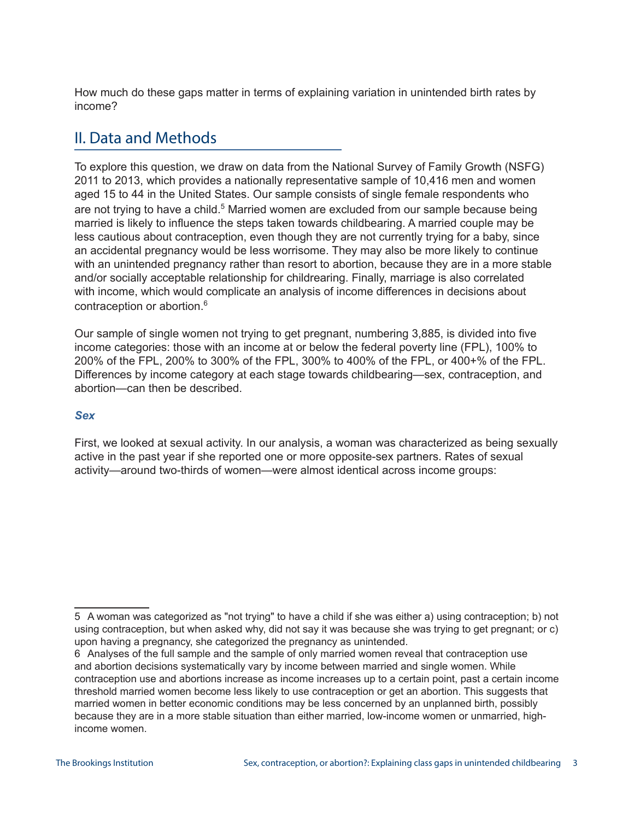How much do these gaps matter in terms of explaining variation in unintended birth rates by income?

# II. Data and Methods

To explore this question, we draw on data from the National Survey of Family Growth (NSFG) 2011 to 2013, which provides a nationally representative sample of 10,416 men and women aged 15 to 44 in the United States. Our sample consists of single female respondents who are not trying to have a child.<sup>5</sup> Married women are excluded from our sample because being married is likely to influence the steps taken towards childbearing. A married couple may be less cautious about contraception, even though they are not currently trying for a baby, since an accidental pregnancy would be less worrisome. They may also be more likely to continue with an unintended pregnancy rather than resort to abortion, because they are in a more stable and/or socially acceptable relationship for childrearing. Finally, marriage is also correlated with income, which would complicate an analysis of income differences in decisions about contraception or abortion.6

Our sample of single women not trying to get pregnant, numbering 3,885, is divided into five income categories: those with an income at or below the federal poverty line (FPL), 100% to 200% of the FPL, 200% to 300% of the FPL, 300% to 400% of the FPL, or 400+% of the FPL. Differences by income category at each stage towards childbearing—sex, contraception, and abortion—can then be described.

#### *Sex*

First, we looked at sexual activity. In our analysis, a woman was characterized as being sexually active in the past year if she reported one or more opposite-sex partners. Rates of sexual activity—around two-thirds of women—were almost identical across income groups:

<sup>5</sup> A woman was categorized as "not trying" to have a child if she was either a) using contraception; b) not using contraception, but when asked why, did not say it was because she was trying to get pregnant; or c) upon having a pregnancy, she categorized the pregnancy as unintended.

<sup>6</sup> Analyses of the full sample and the sample of only married women reveal that contraception use and abortion decisions systematically vary by income between married and single women. While contraception use and abortions increase as income increases up to a certain point, past a certain income threshold married women become less likely to use contraception or get an abortion. This suggests that married women in better economic conditions may be less concerned by an unplanned birth, possibly because they are in a more stable situation than either married, low-income women or unmarried, highincome women.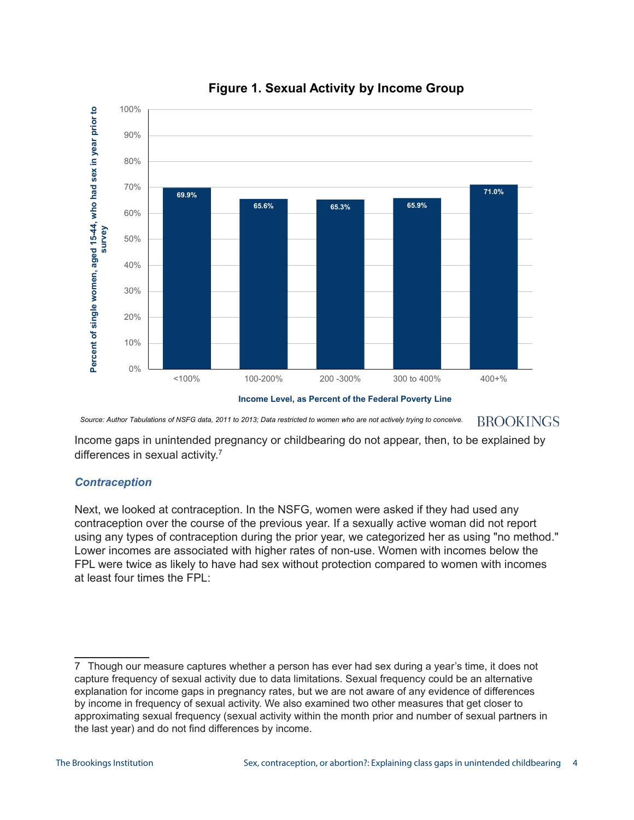

## **Figure 1. Sexual Activity by Income Group**



*Source: Author Tabulations of NSFG data, 2011 to 2013; Data restricted to women who are not actively trying to conceive.***BROOKINGS** 

Income gaps in unintended pregnancy or childbearing do not appear, then, to be explained by differences in sexual activity.<sup>7</sup>

#### *Contraception*

Next, we looked at contraception. In the NSFG, women were asked if they had used any contraception over the course of the previous year. If a sexually active woman did not report using any types of contraception during the prior year, we categorized her as using "no method." Lower incomes are associated with higher rates of non-use. Women with incomes below the FPL were twice as likely to have had sex without protection compared to women with incomes at least four times the FPL:

<sup>7</sup> Though our measure captures whether a person has ever had sex during a year's time, it does not capture frequency of sexual activity due to data limitations. Sexual frequency could be an alternative explanation for income gaps in pregnancy rates, but we are not aware of any evidence of differences by income in frequency of sexual activity. We also examined two other measures that get closer to approximating sexual frequency (sexual activity within the month prior and number of sexual partners in the last year) and do not find differences by income.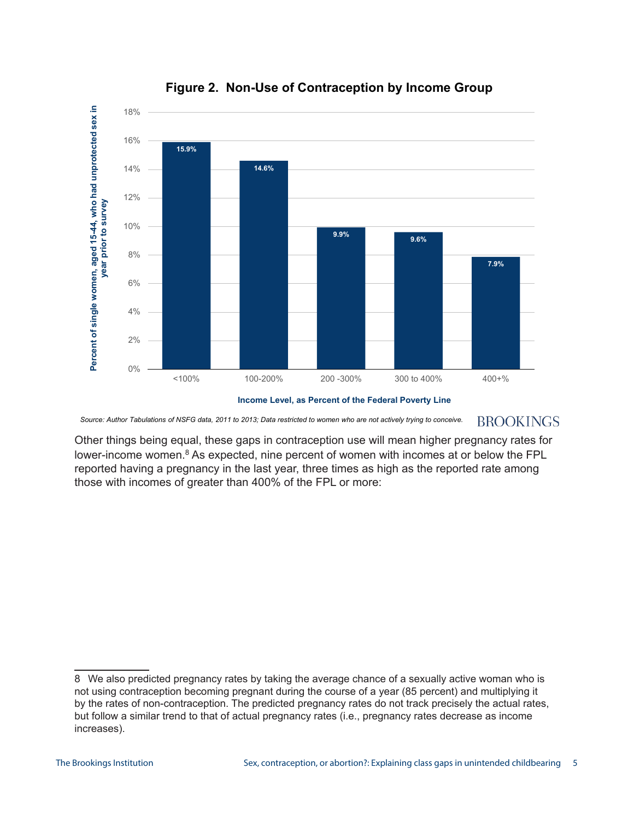

**Figure 2. Non-Use of Contraception by Income Group**



*Source: Author Tabulations of NSFG data, 2011 to 2013; Data restricted to women who are not actively trying to conceive.***BROOKINGS** 

Other things being equal, these gaps in contraception use will mean higher pregnancy rates for lower-income women.<sup>8</sup> As expected, nine percent of women with incomes at or below the FPL reported having a pregnancy in the last year, three times as high as the reported rate among those with incomes of greater than 400% of the FPL or more:

<sup>8</sup> We also predicted pregnancy rates by taking the average chance of a sexually active woman who is not using contraception becoming pregnant during the course of a year (85 percent) and multiplying it by the rates of non-contraception. The predicted pregnancy rates do not track precisely the actual rates, but follow a similar trend to that of actual pregnancy rates (i.e., pregnancy rates decrease as income increases).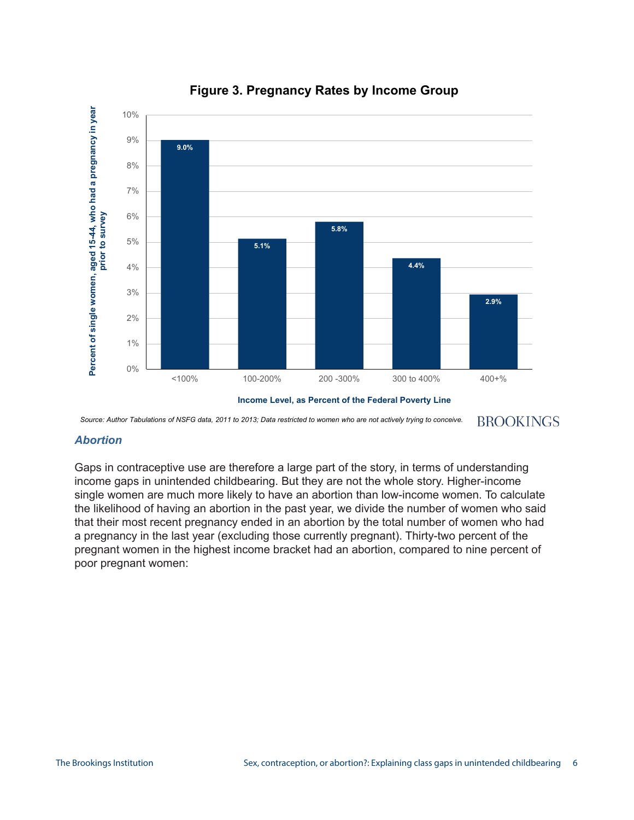

## **Figure 3. Pregnancy Rates by Income Group**

*Source: Author Tabulations of NSFG data, 2011 to 2013; Data restricted to women who are not actively trying to conceive.***BROOKINGS** 

#### *Abortion*

Gaps in contraceptive use are therefore a large part of the story, in terms of understanding income gaps in unintended childbearing. But they are not the whole story. Higher-income single women are much more likely to have an abortion than low-income women. To calculate the likelihood of having an abortion in the past year, we divide the number of women who said that their most recent pregnancy ended in an abortion by the total number of women who had a pregnancy in the last year (excluding those currently pregnant). Thirty-two percent of the pregnant women in the highest income bracket had an abortion, compared to nine percent of poor pregnant women: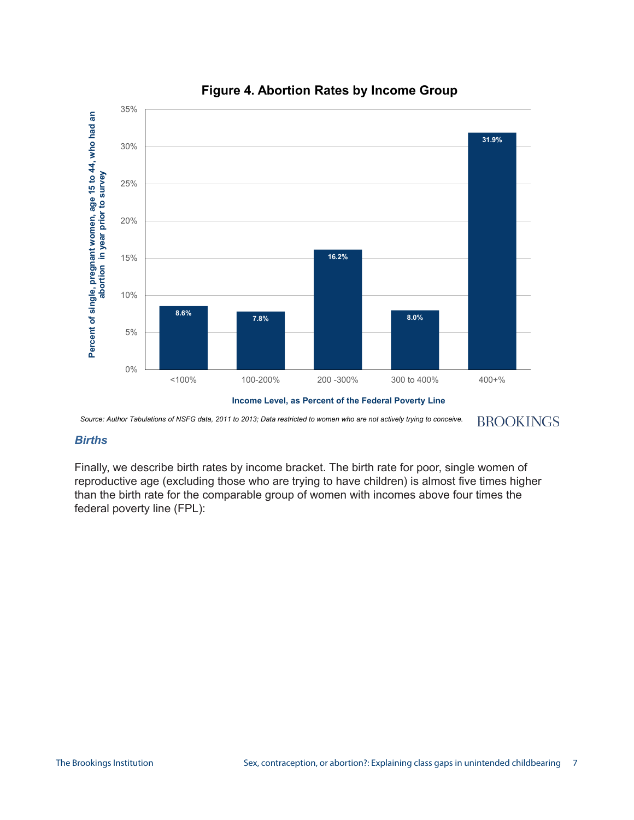

## **Figure 4. Abortion Rates by Income Group**

*Source: Author Tabulations of NSFG data, 2011 to 2013; Data restricted to women who are not actively trying to conceive.*

**BROOKINGS** 

#### *Births*

Finally, we describe birth rates by income bracket. The birth rate for poor, single women of reproductive age (excluding those who are trying to have children) is almost five times higher than the birth rate for the comparable group of women with incomes above four times the federal poverty line (FPL):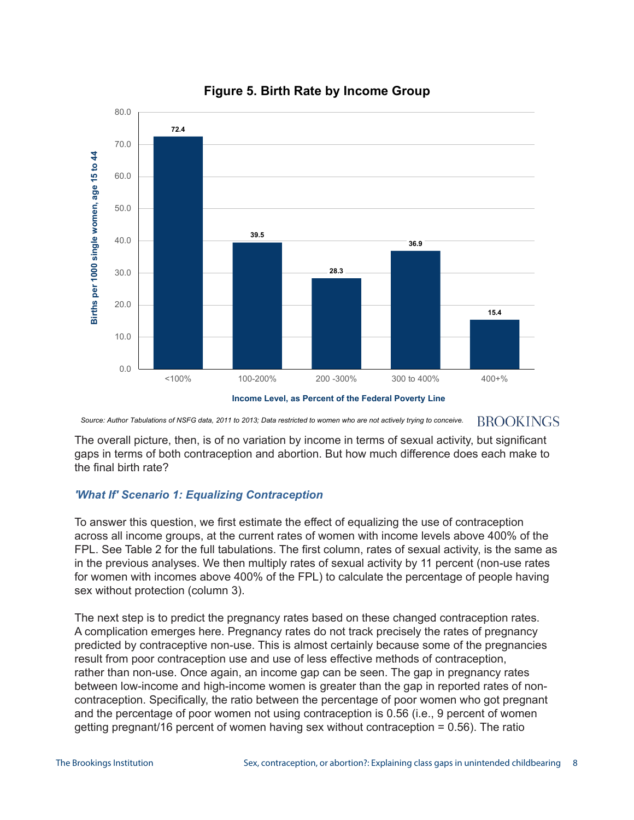

## **Figure 5. Birth Rate by Income Group**

*Source: Author Tabulations of NSFG data, 2011 to 2013; Data restricted to women who are not actively trying to conceive.***BROOKINGS** 

The overall picture, then, is of no variation by income in terms of sexual activity, but significant gaps in terms of both contraception and abortion. But how much difference does each make to the final birth rate?

#### *'What If' Scenario 1: Equalizing Contraception*

To answer this question, we first estimate the effect of equalizing the use of contraception across all income groups, at the current rates of women with income levels above 400% of the FPL. See Table 2 for the full tabulations. The first column, rates of sexual activity, is the same as in the previous analyses. We then multiply rates of sexual activity by 11 percent (non-use rates for women with incomes above 400% of the FPL) to calculate the percentage of people having sex without protection (column 3).

The next step is to predict the pregnancy rates based on these changed contraception rates. A complication emerges here. Pregnancy rates do not track precisely the rates of pregnancy predicted by contraceptive non-use. This is almost certainly because some of the pregnancies result from poor contraception use and use of less effective methods of contraception, rather than non-use. Once again, an income gap can be seen. The gap in pregnancy rates between low-income and high-income women is greater than the gap in reported rates of noncontraception. Specifically, the ratio between the percentage of poor women who got pregnant and the percentage of poor women not using contraception is 0.56 (i.e., 9 percent of women getting pregnant/16 percent of women having sex without contraception = 0.56). The ratio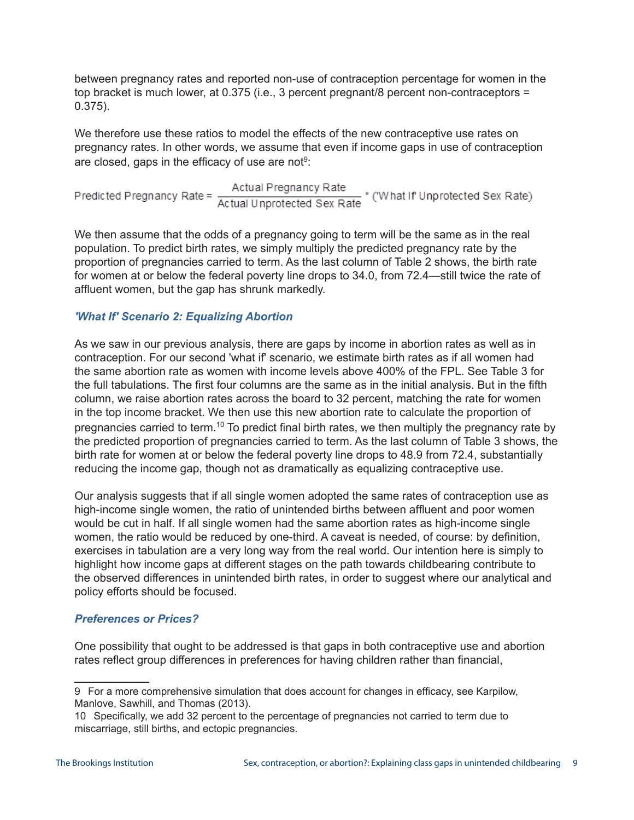between pregnancy rates and reported non-use of contraception percentage for women in the top bracket is much lower, at 0.375 (i.e., 3 percent pregnant/8 percent non-contraceptors = 0.375).

We therefore use these ratios to model the effects of the new contraceptive use rates on pregnancy rates. In other words, we assume that even if income gaps in use of contraception are closed, gaps in the efficacy of use are not $9$ :

Predicted Pregnancy Rate = Actual Pregnancy Rate<br>Actual Unprotected Sex Rate \* ('What If' Unprotected Sex Sate )

We then assume that the odds of a pregnancy going to term will be the same as in the real population. To predict birth rates, we simply multiply the predicted pregnancy rate by the proportion of pregnancies carried to term. As the last column of Table 2 shows, the birth rate for women at or below the federal poverty line drops to 34.0, from 72.4—still twice the rate of affluent women, but the gap has shrunk markedly.

## *'What If' Scenario 2: Equalizing Abortion*

As we saw in our previous analysis, there are gaps by income in abortion rates as well as in contraception. For our second 'what if' scenario, we estimate birth rates as if all women had the same abortion rate as women with income levels above 400% of the FPL. See Table 3 for the full tabulations. The first four columns are the same as in the initial analysis. But in the fifth column, we raise abortion rates across the board to 32 percent, matching the rate for women in the top income bracket. We then use this new abortion rate to calculate the proportion of pregnancies carried to term.<sup>10</sup> To predict final birth rates, we then multiply the pregnancy rate by the predicted proportion of pregnancies carried to term. As the last column of Table 3 shows, the birth rate for women at or below the federal poverty line drops to 48.9 from 72.4, substantially reducing the income gap, though not as dramatically as equalizing contraceptive use.

Our analysis suggests that if all single women adopted the same rates of contraception use as high-income single women, the ratio of unintended births between affluent and poor women would be cut in half. If all single women had the same abortion rates as high-income single women, the ratio would be reduced by one-third. A caveat is needed, of course: by definition, exercises in tabulation are a very long way from the real world. Our intention here is simply to highlight how income gaps at different stages on the path towards childbearing contribute to the observed differences in unintended birth rates, in order to suggest where our analytical and policy efforts should be focused.

#### *Preferences or Prices?*

One possibility that ought to be addressed is that gaps in both contraceptive use and abortion rates reflect group differences in preferences for having children rather than financial,

<sup>9</sup>For a more comprehensive simulation that does account for changes in efficacy, see Karpilow, Manlove, Sawhill, and Thomas (2013).

<sup>10</sup>Specifically, we add 32 percent to the percentage of pregnancies not carried to term due to miscarriage, still births, and ectopic pregnancies.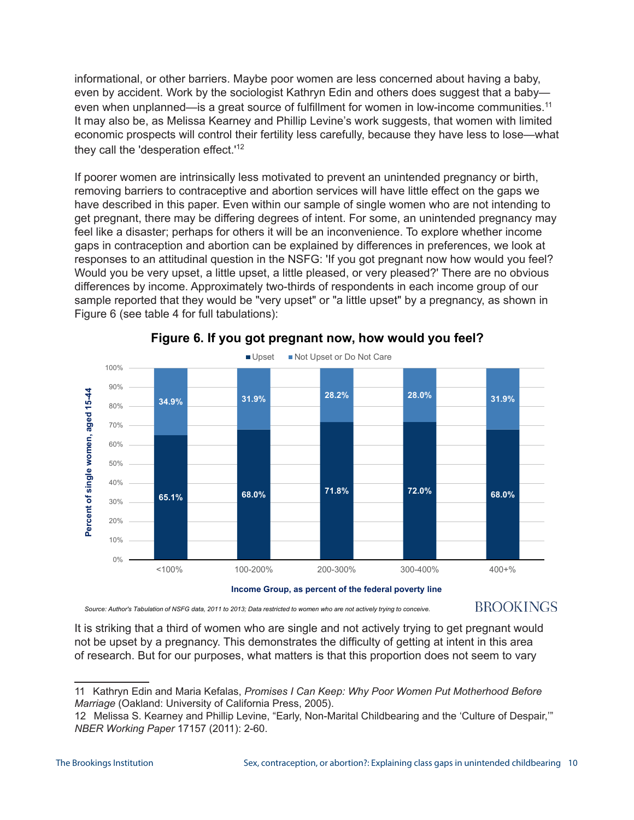informational, or other barriers. Maybe poor women are less concerned about having a baby, even by accident. Work by the sociologist Kathryn Edin and others does suggest that a baby even when unplanned—is a great source of fulfillment for women in low-income communities.<sup>11</sup> It may also be, as Melissa Kearney and Phillip Levine's work suggests, that women with limited economic prospects will control their fertility less carefully, because they have less to lose—what they call the 'desperation effect.<sup>'12</sup>

If poorer women are intrinsically less motivated to prevent an unintended pregnancy or birth, removing barriers to contraceptive and abortion services will have little effect on the gaps we have described in this paper. Even within our sample of single women who are not intending to get pregnant, there may be differing degrees of intent. For some, an unintended pregnancy may feel like a disaster; perhaps for others it will be an inconvenience. To explore whether income gaps in contraception and abortion can be explained by differences in preferences, we look at responses to an attitudinal question in the NSFG: 'If you got pregnant now how would you feel? Would you be very upset, a little upset, a little pleased, or very pleased?' There are no obvious differences by income. Approximately two-thirds of respondents in each income group of our sample reported that they would be "very upset" or "a little upset" by a pregnancy, as shown in Figure 6 (see table 4 for full tabulations):



**Figure 6. If you got pregnant now, how would you feel?** 

*Source: Author's Tabulation of NSFG data, 2011 to 2013; Data restricted to women who are not actively trying to conceive.*

# **BROOKINGS**

It is striking that a third of women who are single and not actively trying to get pregnant would not be upset by a pregnancy. This demonstrates the difficulty of getting at intent in this area of research. But for our purposes, what matters is that this proportion does not seem to vary

<sup>11</sup> Kathryn Edin and Maria Kefalas, *Promises I Can Keep: Why Poor Women Put Motherhood Before Marriage* (Oakland: University of California Press, 2005).

<sup>12</sup>Melissa S. Kearney and Phillip Levine, "Early, Non-Marital Childbearing and the 'Culture of Despair,'" *NBER Working Paper* 17157 (2011): 2-60.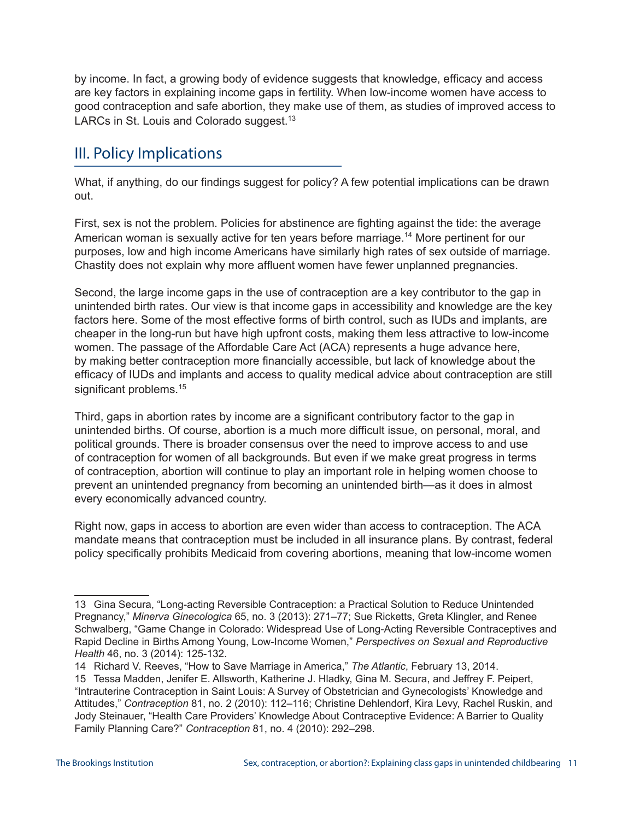by income. In fact, a growing body of evidence suggests that knowledge, efficacy and access are key factors in explaining income gaps in fertility. When low-income women have access to good contraception and safe abortion, they make use of them, as studies of improved access to LARCs in St. Louis and Colorado suggest.<sup>13</sup>

# III. Policy Implications

What, if anything, do our findings suggest for policy? A few potential implications can be drawn out.

First, sex is not the problem. Policies for abstinence are fighting against the tide: the average American woman is sexually active for ten years before marriage.<sup>14</sup> More pertinent for our purposes, low and high income Americans have similarly high rates of sex outside of marriage. Chastity does not explain why more affluent women have fewer unplanned pregnancies.

Second, the large income gaps in the use of contraception are a key contributor to the gap in unintended birth rates. Our view is that income gaps in accessibility and knowledge are the key factors here. Some of the most effective forms of birth control, such as IUDs and implants, are cheaper in the long-run but have high upfront costs, making them less attractive to low-income women. The passage of the Affordable Care Act (ACA) represents a huge advance here, by making better contraception more financially accessible, but lack of knowledge about the efficacy of IUDs and implants and access to quality medical advice about contraception are still significant problems.<sup>15</sup>

Third, gaps in abortion rates by income are a significant contributory factor to the gap in unintended births. Of course, abortion is a much more difficult issue, on personal, moral, and political grounds. There is broader consensus over the need to improve access to and use of contraception for women of all backgrounds. But even if we make great progress in terms of contraception, abortion will continue to play an important role in helping women choose to prevent an unintended pregnancy from becoming an unintended birth—as it does in almost every economically advanced country.

Right now, gaps in access to abortion are even wider than access to contraception. The ACA mandate means that contraception must be included in all insurance plans. By contrast, federal policy specifically prohibits Medicaid from covering abortions, meaning that low-income women

<sup>13</sup> Gina Secura, "Long-acting Reversible Contraception: a Practical Solution to Reduce Unintended Pregnancy," *Minerva Ginecologica* 65, no. 3 (2013): 271–77; Sue Ricketts, Greta Klingler, and Renee Schwalberg, "Game Change in Colorado: Widespread Use of Long-Acting Reversible Contraceptives and Rapid Decline in Births Among Young, Low-Income Women," *Perspectives on Sexual and Reproductive Health* 46, no. 3 (2014): 125-132.

<sup>14</sup>Richard V. Reeves, "How to Save Marriage in America," *The Atlantic*, February 13, 2014.

<sup>15</sup> Tessa Madden, Jenifer E. Allsworth, Katherine J. Hladky, Gina M. Secura, and Jeffrey F. Peipert, "Intrauterine Contraception in Saint Louis: A Survey of Obstetrician and Gynecologists' Knowledge and Attitudes," *Contraception* 81, no. 2 (2010): 112–116; Christine Dehlendorf, Kira Levy, Rachel Ruskin, and Jody Steinauer, "Health Care Providers' Knowledge About Contraceptive Evidence: A Barrier to Quality Family Planning Care?" *Contraception* 81, no. 4 (2010): 292–298.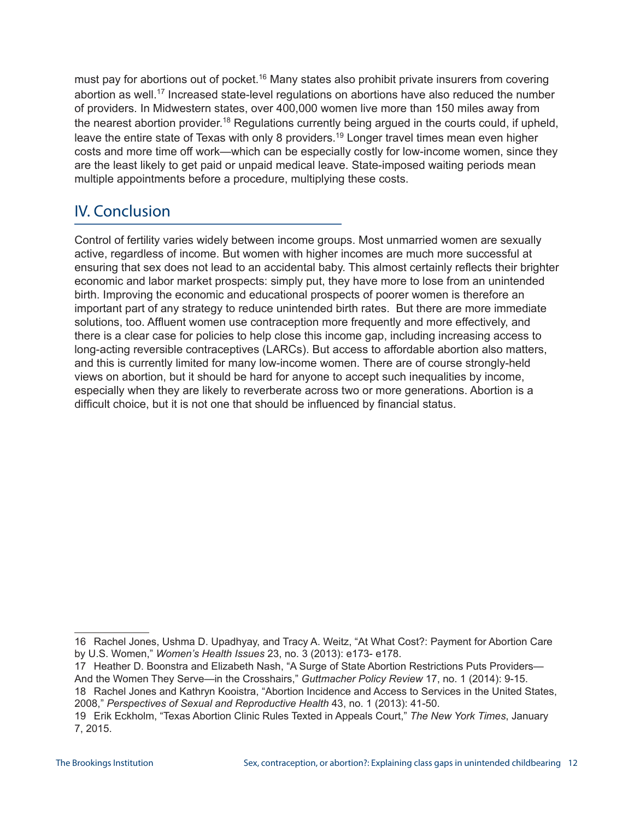must pay for abortions out of pocket.<sup>16</sup> Many states also prohibit private insurers from covering abortion as well.<sup>17</sup> Increased state-level regulations on abortions have also reduced the number of providers. In Midwestern states, over 400,000 women live more than 150 miles away from the nearest abortion provider.<sup>18</sup> Regulations currently being argued in the courts could, if upheld, leave the entire state of Texas with only 8 providers.<sup>19</sup> Longer travel times mean even higher costs and more time off work—which can be especially costly for low-income women, since they are the least likely to get paid or unpaid medical leave. State-imposed waiting periods mean multiple appointments before a procedure, multiplying these costs.

# IV. Conclusion

Control of fertility varies widely between income groups. Most unmarried women are sexually active, regardless of income. But women with higher incomes are much more successful at ensuring that sex does not lead to an accidental baby. This almost certainly reflects their brighter economic and labor market prospects: simply put, they have more to lose from an unintended birth. Improving the economic and educational prospects of poorer women is therefore an important part of any strategy to reduce unintended birth rates. But there are more immediate solutions, too. Affluent women use contraception more frequently and more effectively, and there is a clear case for policies to help close this income gap, including increasing access to long-acting reversible contraceptives (LARCs). But access to affordable abortion also matters, and this is currently limited for many low-income women. There are of course strongly-held views on abortion, but it should be hard for anyone to accept such inequalities by income, especially when they are likely to reverberate across two or more generations. Abortion is a difficult choice, but it is not one that should be influenced by financial status.

17 **Heather D. Boonstra and Elizabeth Nash, "A Surge of State Abortion Restrictions Puts Providers—** 

<sup>16</sup> Rachel Jones, Ushma D. Upadhyay, and Tracy A. Weitz, "At What Cost?: Payment for Abortion Care by U.S. Women," *Women's Health Issues* 23, no. 3 (2013): e173- e178.

And the Women They Serve—in the Crosshairs," *Guttmacher Policy Review* 17, no. 1 (2014): 9-15.

<sup>18</sup> Rachel Jones and Kathryn Kooistra, "Abortion Incidence and Access to Services in the United States, 2008," *Perspectives of Sexual and Reproductive Health* 43, no. 1 (2013): 41-50.

<sup>19</sup>Erik Eckholm, "Texas Abortion Clinic Rules Texted in Appeals Court," *The New York Times*, January 7, 2015.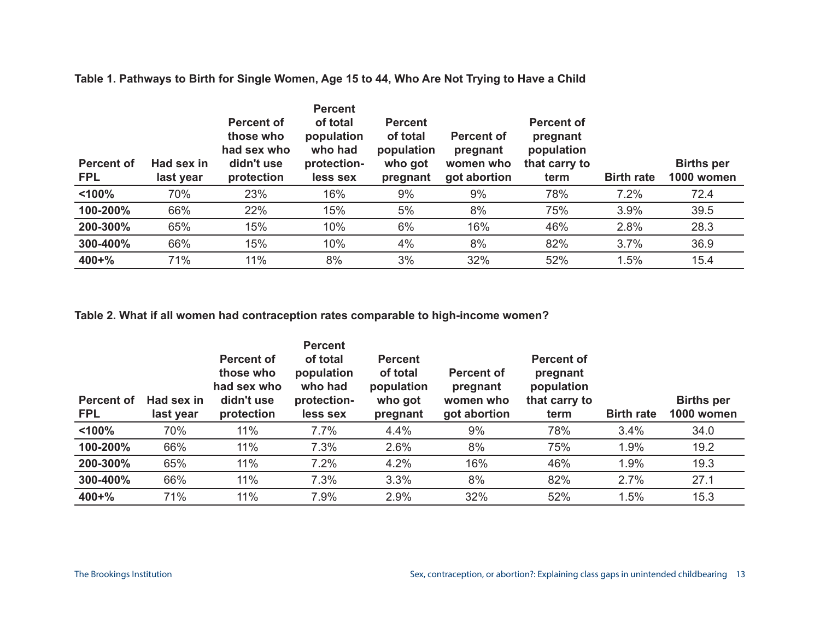| <b>Percent of</b><br><b>FPL</b> | Had sex in<br>last year | <b>Percent of</b><br>those who<br>had sex who<br>didn't use<br>protection | <b>Percent</b><br>of total<br>population<br>who had<br>protection-<br>less sex | <b>Percent</b><br>of total<br>population<br>who got<br>pregnant | <b>Percent of</b><br>pregnant<br>women who<br>got abortion | <b>Percent of</b><br>pregnant<br>population<br>that carry to<br>term | <b>Birth rate</b> | <b>Births per</b><br>1000 women |
|---------------------------------|-------------------------|---------------------------------------------------------------------------|--------------------------------------------------------------------------------|-----------------------------------------------------------------|------------------------------------------------------------|----------------------------------------------------------------------|-------------------|---------------------------------|
| < 100%                          | 70%                     | 23%                                                                       | 16%                                                                            | 9%                                                              | 9%                                                         | 78%                                                                  | 7.2%              | 72.4                            |
| 100-200%                        | 66%                     | 22%                                                                       | 15%                                                                            | 5%                                                              | 8%                                                         | 75%                                                                  | 3.9%              | 39.5                            |
| 200-300%                        | 65%                     | 15%                                                                       | 10%                                                                            | 6%                                                              | 16%                                                        | 46%                                                                  | 2.8%              | 28.3                            |
| 300-400%                        | 66%                     | 15%                                                                       | 10%                                                                            | 4%                                                              | 8%                                                         | 82%                                                                  | 3.7%              | 36.9                            |
| $400 + \%$                      | 71%                     | 11%                                                                       | 8%                                                                             | 3%                                                              | 32%                                                        | 52%                                                                  | 1.5%              | 15.4                            |

**Table 1. Pathways to Birth for Single Women, Age 15 to 44, Who Are Not Trying to Have a Child**

## **Table 2. What if all women had contraception rates comparable to high-income women?**

| Percent of<br><b>FPL</b> | Had sex in<br>last year | <b>Percent of</b><br>those who<br>had sex who<br>didn't use<br>protection | <b>Percent</b><br>of total<br>population<br>who had<br>protection-<br>less sex | <b>Percent</b><br>of total<br>population<br>who got<br>pregnant | <b>Percent of</b><br>pregnant<br>women who<br>got abortion | <b>Percent of</b><br>pregnant<br>population<br>that carry to<br>term | <b>Birth rate</b> | <b>Births per</b><br>1000 women |
|--------------------------|-------------------------|---------------------------------------------------------------------------|--------------------------------------------------------------------------------|-----------------------------------------------------------------|------------------------------------------------------------|----------------------------------------------------------------------|-------------------|---------------------------------|
| < 100%                   | 70%                     | 11%                                                                       | 7.7%                                                                           | 4.4%                                                            | 9%                                                         | 78%                                                                  | 3.4%              | 34.0                            |
| 100-200%                 | 66%                     | 11%                                                                       | 7.3%                                                                           | 2.6%                                                            | 8%                                                         | 75%                                                                  | 1.9%              | 19.2                            |
| 200-300%                 | 65%                     | 11%                                                                       | 7.2%                                                                           | 4.2%                                                            | 16%                                                        | 46%                                                                  | 1.9%              | 19.3                            |
| 300-400%                 | 66%                     | 11%                                                                       | 7.3%                                                                           | 3.3%                                                            | 8%                                                         | 82%                                                                  | 2.7%              | 27.1                            |
| $400 + \%$               | 71%                     | 11%                                                                       | 7.9%                                                                           | 2.9%                                                            | 32%                                                        | 52%                                                                  | 1.5%              | 15.3                            |